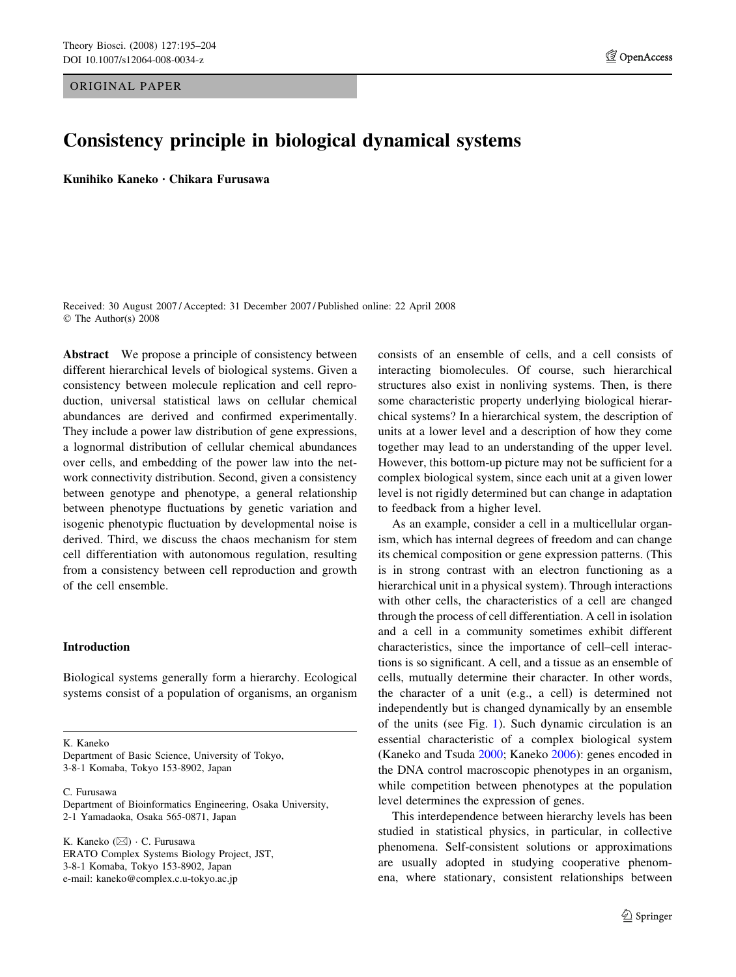ORIGINAL PAPER

# Consistency principle in biological dynamical systems

Kunihiko Kaneko · Chikara Furusawa

Received: 30 August 2007 / Accepted: 31 December 2007 / Published online: 22 April 2008 The Author(s) 2008

Abstract We propose a principle of consistency between different hierarchical levels of biological systems. Given a consistency between molecule replication and cell reproduction, universal statistical laws on cellular chemical abundances are derived and confirmed experimentally. They include a power law distribution of gene expressions, a lognormal distribution of cellular chemical abundances over cells, and embedding of the power law into the network connectivity distribution. Second, given a consistency between genotype and phenotype, a general relationship between phenotype fluctuations by genetic variation and isogenic phenotypic fluctuation by developmental noise is derived. Third, we discuss the chaos mechanism for stem cell differentiation with autonomous regulation, resulting from a consistency between cell reproduction and growth of the cell ensemble.

### Introduction

Biological systems generally form a hierarchy. Ecological systems consist of a population of organisms, an organism

K. Kaneko

Department of Basic Science, University of Tokyo, 3-8-1 Komaba, Tokyo 153-8902, Japan

C. Furusawa

K. Kaneko (&) C. Furusawa ERATO Complex Systems Biology Project, JST, 3-8-1 Komaba, Tokyo 153-8902, Japan e-mail: kaneko@complex.c.u-tokyo.ac.jp

consists of an ensemble of cells, and a cell consists of interacting biomolecules. Of course, such hierarchical structures also exist in nonliving systems. Then, is there some characteristic property underlying biological hierarchical systems? In a hierarchical system, the description of units at a lower level and a description of how they come together may lead to an understanding of the upper level. However, this bottom-up picture may not be sufficient for a complex biological system, since each unit at a given lower level is not rigidly determined but can change in adaptation to feedback from a higher level.

As an example, consider a cell in a multicellular organism, which has internal degrees of freedom and can change its chemical composition or gene expression patterns. (This is in strong contrast with an electron functioning as a hierarchical unit in a physical system). Through interactions with other cells, the characteristics of a cell are changed through the process of cell differentiation. A cell in isolation and a cell in a community sometimes exhibit different characteristics, since the importance of cell–cell interactions is so significant. A cell, and a tissue as an ensemble of cells, mutually determine their character. In other words, the character of a unit (e.g., a cell) is determined not independently but is changed dynamically by an ensemble of the units (see Fig. [1](#page-1-0)). Such dynamic circulation is an essential characteristic of a complex biological system (Kaneko and Tsuda [2000](#page-8-0); Kaneko [2006](#page-8-0)): genes encoded in the DNA control macroscopic phenotypes in an organism, while competition between phenotypes at the population level determines the expression of genes.

This interdependence between hierarchy levels has been studied in statistical physics, in particular, in collective phenomena. Self-consistent solutions or approximations are usually adopted in studying cooperative phenomena, where stationary, consistent relationships between

Department of Bioinformatics Engineering, Osaka University, 2-1 Yamadaoka, Osaka 565-0871, Japan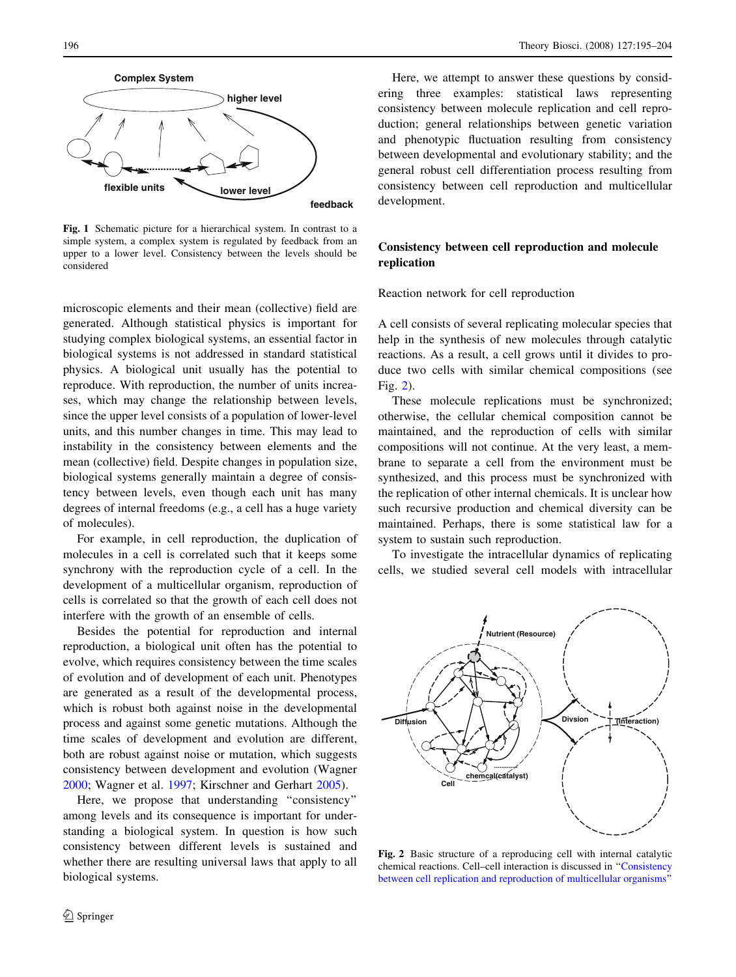<span id="page-1-0"></span>

Fig. 1 Schematic picture for a hierarchical system. In contrast to a simple system, a complex system is regulated by feedback from an upper to a lower level. Consistency between the levels should be considered

microscopic elements and their mean (collective) field are generated. Although statistical physics is important for studying complex biological systems, an essential factor in biological systems is not addressed in standard statistical physics. A biological unit usually has the potential to reproduce. With reproduction, the number of units increases, which may change the relationship between levels, since the upper level consists of a population of lower-level units, and this number changes in time. This may lead to instability in the consistency between elements and the mean (collective) field. Despite changes in population size, biological systems generally maintain a degree of consistency between levels, even though each unit has many degrees of internal freedoms (e.g., a cell has a huge variety of molecules).

For example, in cell reproduction, the duplication of molecules in a cell is correlated such that it keeps some synchrony with the reproduction cycle of a cell. In the development of a multicellular organism, reproduction of cells is correlated so that the growth of each cell does not interfere with the growth of an ensemble of cells.

Besides the potential for reproduction and internal reproduction, a biological unit often has the potential to evolve, which requires consistency between the time scales of evolution and of development of each unit. Phenotypes are generated as a result of the developmental process, which is robust both against noise in the developmental process and against some genetic mutations. Although the time scales of development and evolution are different, both are robust against noise or mutation, which suggests consistency between development and evolution (Wagner [2000;](#page-9-0) Wagner et al. [1997;](#page-9-0) Kirschner and Gerhart [2005](#page-8-0)).

Here, we propose that understanding ''consistency'' among levels and its consequence is important for understanding a biological system. In question is how such consistency between different levels is sustained and whether there are resulting universal laws that apply to all biological systems.

Here, we attempt to answer these questions by considering three examples: statistical laws representing consistency between molecule replication and cell reproduction; general relationships between genetic variation and phenotypic fluctuation resulting from consistency between developmental and evolutionary stability; and the general robust cell differentiation process resulting from consistency between cell reproduction and multicellular development.

# Consistency between cell reproduction and molecule replication

Reaction network for cell reproduction

A cell consists of several replicating molecular species that help in the synthesis of new molecules through catalytic reactions. As a result, a cell grows until it divides to produce two cells with similar chemical compositions (see Fig. 2).

These molecule replications must be synchronized; otherwise, the cellular chemical composition cannot be maintained, and the reproduction of cells with similar compositions will not continue. At the very least, a membrane to separate a cell from the environment must be synthesized, and this process must be synchronized with the replication of other internal chemicals. It is unclear how such recursive production and chemical diversity can be maintained. Perhaps, there is some statistical law for a system to sustain such reproduction.

To investigate the intracellular dynamics of replicating cells, we studied several cell models with intracellular



Fig. 2 Basic structure of a reproducing cell with internal catalytic chemical reactions. Cell–cell interaction is discussed in ''[Consistency](#page-7-0) between cell replication and reproduction of multicellular organisms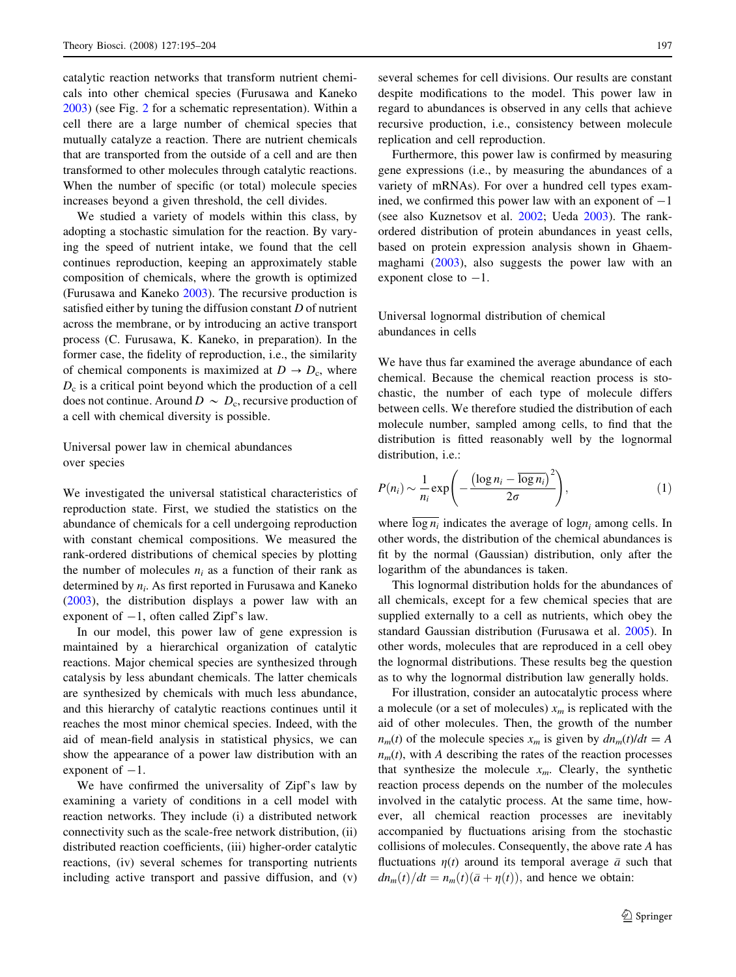<span id="page-2-0"></span>catalytic reaction networks that transform nutrient chemicals into other chemical species (Furusawa and Kaneko [2003\)](#page-8-0) (see Fig. [2](#page-1-0) for a schematic representation). Within a cell there are a large number of chemical species that mutually catalyze a reaction. There are nutrient chemicals that are transported from the outside of a cell and are then transformed to other molecules through catalytic reactions. When the number of specific (or total) molecule species increases beyond a given threshold, the cell divides.

We studied a variety of models within this class, by adopting a stochastic simulation for the reaction. By varying the speed of nutrient intake, we found that the cell continues reproduction, keeping an approximately stable composition of chemicals, where the growth is optimized (Furusawa and Kaneko [2003](#page-8-0)). The recursive production is satisfied either by tuning the diffusion constant  $D$  of nutrient across the membrane, or by introducing an active transport process (C. Furusawa, K. Kaneko, in preparation). In the former case, the fidelity of reproduction, i.e., the similarity of chemical components is maximized at  $D \to D_c$ , where  $D<sub>c</sub>$  is a critical point beyond which the production of a cell does not continue. Around  $D \sim D_c$ , recursive production of a cell with chemical diversity is possible.

## Universal power law in chemical abundances over species

We investigated the universal statistical characteristics of reproduction state. First, we studied the statistics on the abundance of chemicals for a cell undergoing reproduction with constant chemical compositions. We measured the rank-ordered distributions of chemical species by plotting the number of molecules  $n_i$  as a function of their rank as determined by  $n_i$ . As first reported in Furusawa and Kaneko [\(2003](#page-8-0)), the distribution displays a power law with an exponent of  $-1$ , often called Zipf's law.

In our model, this power law of gene expression is maintained by a hierarchical organization of catalytic reactions. Major chemical species are synthesized through catalysis by less abundant chemicals. The latter chemicals are synthesized by chemicals with much less abundance, and this hierarchy of catalytic reactions continues until it reaches the most minor chemical species. Indeed, with the aid of mean-field analysis in statistical physics, we can show the appearance of a power law distribution with an exponent of  $-1$ .

We have confirmed the universality of Zipf's law by examining a variety of conditions in a cell model with reaction networks. They include (i) a distributed network connectivity such as the scale-free network distribution, (ii) distributed reaction coefficients, (iii) higher-order catalytic reactions, (iv) several schemes for transporting nutrients including active transport and passive diffusion, and (v) several schemes for cell divisions. Our results are constant despite modifications to the model. This power law in regard to abundances is observed in any cells that achieve recursive production, i.e., consistency between molecule replication and cell reproduction.

Furthermore, this power law is confirmed by measuring gene expressions (i.e., by measuring the abundances of a variety of mRNAs). For over a hundred cell types examined, we confirmed this power law with an exponent of  $-1$ (see also Kuznetsov et al. [2002;](#page-8-0) Ueda [2003\)](#page-9-0). The rankordered distribution of protein abundances in yeast cells, based on protein expression analysis shown in Ghaemmaghami [\(2003](#page-8-0)), also suggests the power law with an exponent close to  $-1$ .

# Universal lognormal distribution of chemical abundances in cells

We have thus far examined the average abundance of each chemical. Because the chemical reaction process is stochastic, the number of each type of molecule differs between cells. We therefore studied the distribution of each molecule number, sampled among cells, to find that the distribution is fitted reasonably well by the lognormal distribution, *i.e.*:

$$
P(n_i) \sim \frac{1}{n_i} \exp\left(-\frac{\left(\log n_i - \overline{\log n_i}\right)^2}{2\sigma}\right),\tag{1}
$$

where  $\overline{\log n_i}$  indicates the average of  $\log n_i$  among cells. In other words, the distribution of the chemical abundances is fit by the normal (Gaussian) distribution, only after the logarithm of the abundances is taken.

This lognormal distribution holds for the abundances of all chemicals, except for a few chemical species that are supplied externally to a cell as nutrients, which obey the standard Gaussian distribution (Furusawa et al. [2005](#page-8-0)). In other words, molecules that are reproduced in a cell obey the lognormal distributions. These results beg the question as to why the lognormal distribution law generally holds.

For illustration, consider an autocatalytic process where a molecule (or a set of molecules)  $x_m$  is replicated with the aid of other molecules. Then, the growth of the number  $n_m(t)$  of the molecule species  $x_m$  is given by  $dn_m(t)/dt = A$  $n<sub>m</sub>(t)$ , with A describing the rates of the reaction processes that synthesize the molecule  $x_m$ . Clearly, the synthetic reaction process depends on the number of the molecules involved in the catalytic process. At the same time, however, all chemical reaction processes are inevitably accompanied by fluctuations arising from the stochastic collisions of molecules. Consequently, the above rate A has fluctuations  $\eta(t)$  around its temporal average  $\bar{a}$  such that  $dn_m(t)/dt = n_m(t)(\bar{a} + \eta(t))$ , and hence we obtain: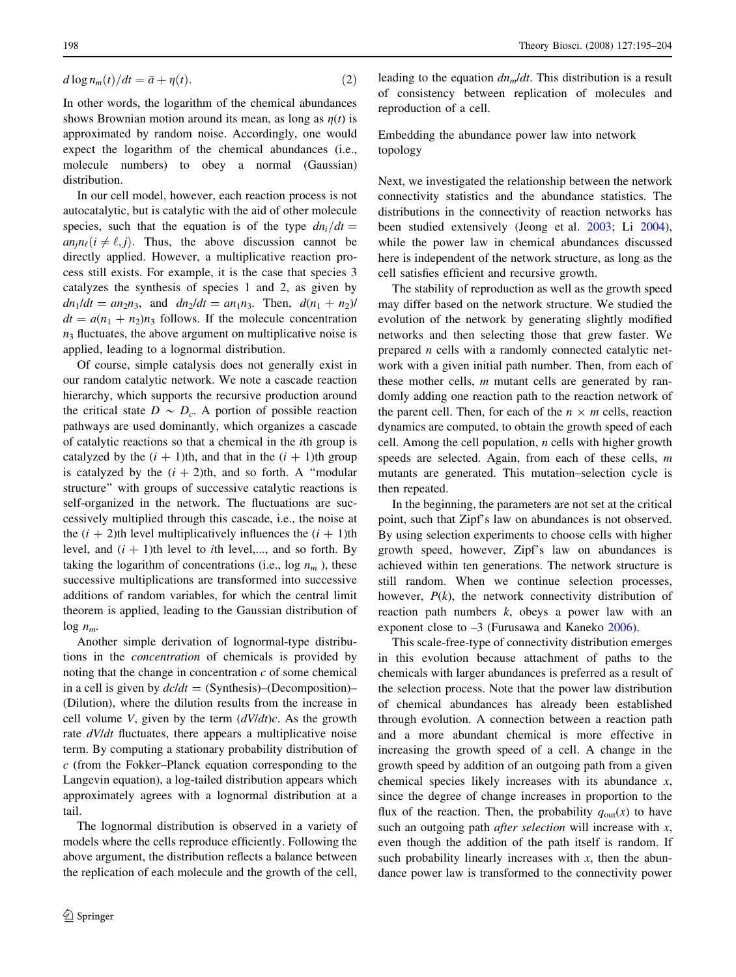$$
d \log n_m(t)/dt = \bar{a} + \eta(t). \tag{2}
$$

In other words, the logarithm of the chemical abundances shows Brownian motion around its mean, as long as  $\eta(t)$  is approximated by random noise. Accordingly, one would expect the logarithm of the chemical abundances (i.e., molecule numbers) to obey a normal (Gaussian) distribution.

In our cell model, however, each reaction process is not autocatalytic, but is catalytic with the aid of other molecule species, such that the equation is of the type  $dn_i/dt =$  $a_n_i n_\ell (i \neq \ell, j)$ . Thus, the above discussion cannot be directly applied. However, a multiplicative reaction process still exists. For example, it is the case that species 3 catalyzes the synthesis of species 1 and 2, as given by  $dn_1/dt = an_2n_3$ , and  $dn_2/dt = an_1n_3$ . Then,  $d(n_1 + n_2)$ /  $dt = a(n_1 + n_2)n_3$  follows. If the molecule concentration  $n_3$  fluctuates, the above argument on multiplicative noise is applied, leading to a lognormal distribution.

Of course, simple catalysis does not generally exist in our random catalytic network. We note a cascade reaction hierarchy, which supports the recursive production around the critical state  $D \sim D_c$ . A portion of possible reaction pathways are used dominantly, which organizes a cascade of catalytic reactions so that a chemical in the ith group is catalyzed by the  $(i + 1)$ th, and that in the  $(i + 1)$ th group is catalyzed by the  $(i + 2)$ th, and so forth. A "modular structure'' with groups of successive catalytic reactions is self-organized in the network. The fluctuations are successively multiplied through this cascade, i.e., the noise at the  $(i + 2)$ th level multiplicatively influences the  $(i + 1)$ th level, and  $(i + 1)$ th level to *i*th level,..., and so forth. By taking the logarithm of concentrations (i.e.,  $\log n_m$ ), these successive multiplications are transformed into successive additions of random variables, for which the central limit theorem is applied, leading to the Gaussian distribution of  $\log n_m$ .

Another simple derivation of lognormal-type distributions in the concentration of chemicals is provided by noting that the change in concentration  $c$  of some chemical in a cell is given by  $dcldt =$  (Synthesis)–(Decomposition)– (Dilution), where the dilution results from the increase in cell volume V, given by the term  $(dV/dt)c$ . As the growth rate dV/dt fluctuates, there appears a multiplicative noise term. By computing a stationary probability distribution of c (from the Fokker–Planck equation corresponding to the Langevin equation), a log-tailed distribution appears which approximately agrees with a lognormal distribution at a tail.

The lognormal distribution is observed in a variety of models where the cells reproduce efficiently. Following the above argument, the distribution reflects a balance between the replication of each molecule and the growth of the cell,

leading to the equation  $dn_m/dt$ . This distribution is a result of consistency between replication of molecules and reproduction of a cell.

Embedding the abundance power law into network topology

Next, we investigated the relationship between the network connectivity statistics and the abundance statistics. The distributions in the connectivity of reaction networks has been studied extensively (Jeong et al. [2003](#page-8-0); Li [2004](#page-9-0)), while the power law in chemical abundances discussed here is independent of the network structure, as long as the cell satisfies efficient and recursive growth.

The stability of reproduction as well as the growth speed may differ based on the network structure. We studied the evolution of the network by generating slightly modified networks and then selecting those that grew faster. We prepared n cells with a randomly connected catalytic network with a given initial path number. Then, from each of these mother cells, m mutant cells are generated by randomly adding one reaction path to the reaction network of the parent cell. Then, for each of the  $n \times m$  cells, reaction dynamics are computed, to obtain the growth speed of each cell. Among the cell population,  $n$  cells with higher growth speeds are selected. Again, from each of these cells, m mutants are generated. This mutation–selection cycle is then repeated.

In the beginning, the parameters are not set at the critical point, such that Zipf's law on abundances is not observed. By using selection experiments to choose cells with higher growth speed, however, Zipf's law on abundances is achieved within ten generations. The network structure is still random. When we continue selection processes, however,  $P(k)$ , the network connectivity distribution of reaction path numbers  $k$ , obeys a power law with an exponent close to  $-3$  (Furusawa and Kaneko [2006](#page-8-0)).

This scale-free-type of connectivity distribution emerges in this evolution because attachment of paths to the chemicals with larger abundances is preferred as a result of the selection process. Note that the power law distribution of chemical abundances has already been established through evolution. A connection between a reaction path and a more abundant chemical is more effective in increasing the growth speed of a cell. A change in the growth speed by addition of an outgoing path from a given chemical species likely increases with its abundance  $x$ , since the degree of change increases in proportion to the flux of the reaction. Then, the probability  $q_{\text{out}}(x)$  to have such an outgoing path *after selection* will increase with  $x$ , even though the addition of the path itself is random. If such probability linearly increases with  $x$ , then the abundance power law is transformed to the connectivity power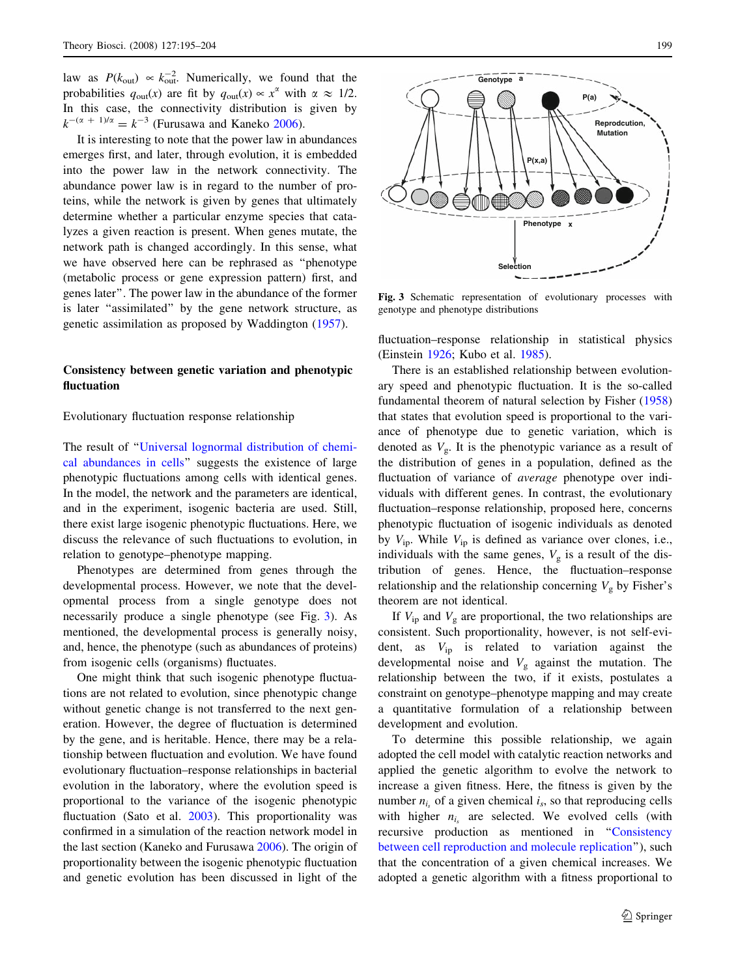<span id="page-4-0"></span>law as  $P(k_{\text{out}}) \propto k_{\text{out}}^{-2}$ . Numerically, we found that the probabilities  $q_{\text{out}}(x)$  are fit by  $q_{\text{out}}(x) \propto x^{\alpha}$  with  $\alpha \approx 1/2$ . In this case, the connectivity distribution is given by  $k^{-(\alpha + 1)/\alpha} = k^{-3}$  (Furusawa and Kaneko [2006](#page-8-0)).

It is interesting to note that the power law in abundances emerges first, and later, through evolution, it is embedded into the power law in the network connectivity. The abundance power law is in regard to the number of proteins, while the network is given by genes that ultimately determine whether a particular enzyme species that catalyzes a given reaction is present. When genes mutate, the network path is changed accordingly. In this sense, what we have observed here can be rephrased as ''phenotype (metabolic process or gene expression pattern) first, and genes later''. The power law in the abundance of the former is later ''assimilated'' by the gene network structure, as genetic assimilation as proposed by Waddington [\(1957](#page-9-0)).

## Consistency between genetic variation and phenotypic fluctuation

#### Evolutionary fluctuation response relationship

The result of ''[Universal lognormal distribution of chemi](#page-2-0)[cal abundances in cells](#page-2-0)'' suggests the existence of large phenotypic fluctuations among cells with identical genes. In the model, the network and the parameters are identical, and in the experiment, isogenic bacteria are used. Still, there exist large isogenic phenotypic fluctuations. Here, we discuss the relevance of such fluctuations to evolution, in relation to genotype–phenotype mapping.

Phenotypes are determined from genes through the developmental process. However, we note that the developmental process from a single genotype does not necessarily produce a single phenotype (see Fig. 3). As mentioned, the developmental process is generally noisy, and, hence, the phenotype (such as abundances of proteins) from isogenic cells (organisms) fluctuates.

One might think that such isogenic phenotype fluctuations are not related to evolution, since phenotypic change without genetic change is not transferred to the next generation. However, the degree of fluctuation is determined by the gene, and is heritable. Hence, there may be a relationship between fluctuation and evolution. We have found evolutionary fluctuation–response relationships in bacterial evolution in the laboratory, where the evolution speed is proportional to the variance of the isogenic phenotypic fluctuation (Sato et al. [2003\)](#page-9-0). This proportionality was confirmed in a simulation of the reaction network model in the last section (Kaneko and Furusawa [2006](#page-8-0)). The origin of proportionality between the isogenic phenotypic fluctuation and genetic evolution has been discussed in light of the



Fig. 3 Schematic representation of evolutionary processes with genotype and phenotype distributions

fluctuation–response relationship in statistical physics (Einstein [1926;](#page-8-0) Kubo et al. [1985\)](#page-8-0).

There is an established relationship between evolutionary speed and phenotypic fluctuation. It is the so-called fundamental theorem of natural selection by Fisher ([1958\)](#page-8-0) that states that evolution speed is proportional to the variance of phenotype due to genetic variation, which is denoted as  $V_{\rm g}$ . It is the phenotypic variance as a result of the distribution of genes in a population, defined as the fluctuation of variance of *average* phenotype over individuals with different genes. In contrast, the evolutionary fluctuation–response relationship, proposed here, concerns phenotypic fluctuation of isogenic individuals as denoted by  $V_{ip}$ . While  $V_{ip}$  is defined as variance over clones, i.e., individuals with the same genes,  $V_g$  is a result of the distribution of genes. Hence, the fluctuation–response relationship and the relationship concerning  $V<sub>g</sub>$  by Fisher's theorem are not identical.

If  $V_{\text{ip}}$  and  $V_{\text{g}}$  are proportional, the two relationships are consistent. Such proportionality, however, is not self-evident, as  $V_{\text{ip}}$  is related to variation against the developmental noise and  $V<sub>g</sub>$  against the mutation. The relationship between the two, if it exists, postulates a constraint on genotype–phenotype mapping and may create a quantitative formulation of a relationship between development and evolution.

To determine this possible relationship, we again adopted the cell model with catalytic reaction networks and applied the genetic algorithm to evolve the network to increase a given fitness. Here, the fitness is given by the number  $n_{i_s}$  of a given chemical  $i_s$ , so that reproducing cells with higher  $n_i$  are selected. We evolved cells (with recursive production as mentioned in '['Consistency](#page-1-0) [between cell reproduction and molecule replication](#page-1-0)''), such that the concentration of a given chemical increases. We adopted a genetic algorithm with a fitness proportional to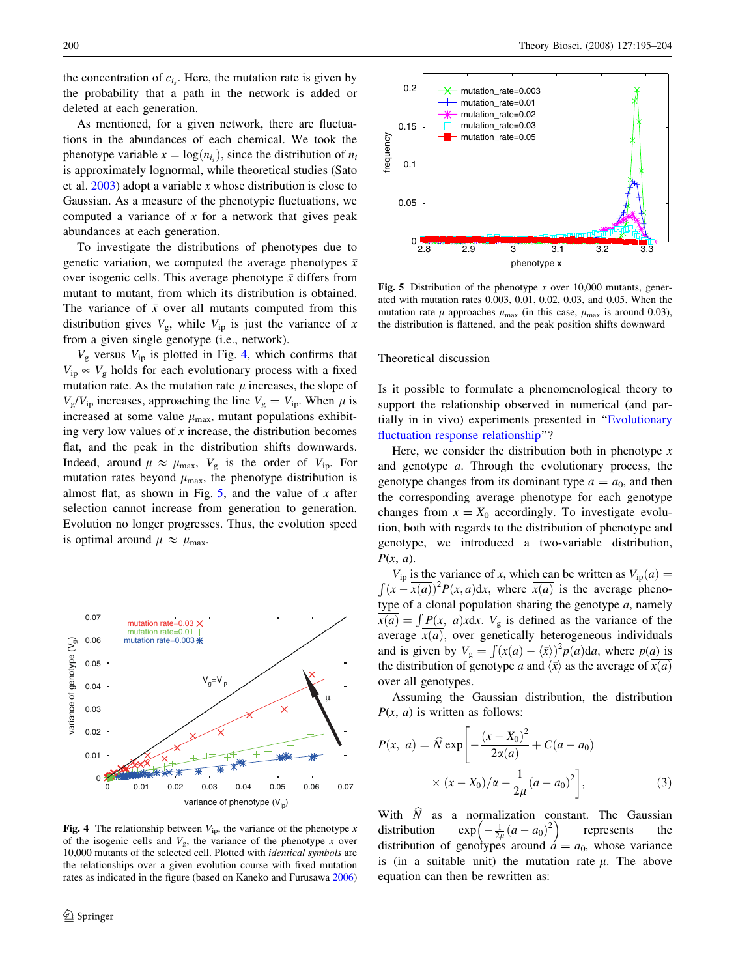<span id="page-5-0"></span>the concentration of  $c_i$ . Here, the mutation rate is given by the probability that a path in the network is added or deleted at each generation.

As mentioned, for a given network, there are fluctuations in the abundances of each chemical. We took the phenotype variable  $x = \log(n_i)$ , since the distribution of  $n_i$ is approximately lognormal, while theoretical studies (Sato et al.  $2003$ ) adopt a variable x whose distribution is close to Gaussian. As a measure of the phenotypic fluctuations, we computed a variance of  $x$  for a network that gives peak abundances at each generation.

To investigate the distributions of phenotypes due to genetic variation, we computed the average phenotypes  $\bar{x}$ over isogenic cells. This average phenotype  $\bar{x}$  differs from mutant to mutant, from which its distribution is obtained. The variance of  $\bar{x}$  over all mutants computed from this distribution gives  $V_g$ , while  $V_{ip}$  is just the variance of x from a given single genotype (i.e., network).

 $V_{\rm g}$  versus  $V_{\rm ip}$  is plotted in Fig. 4, which confirms that  $V_{\text{ip}} \propto V_{\text{g}}$  holds for each evolutionary process with a fixed mutation rate. As the mutation rate  $\mu$  increases, the slope of  $V_g/V_{\text{in}}$  increases, approaching the line  $V_g = V_{\text{in}}$ . When  $\mu$  is increased at some value  $\mu_{\text{max}}$ , mutant populations exhibiting very low values of  $x$  increase, the distribution becomes flat, and the peak in the distribution shifts downwards. Indeed, around  $\mu \approx \mu_{\text{max}}$ ,  $V_{\text{g}}$  is the order of  $V_{\text{ip}}$ . For mutation rates beyond  $\mu_{\text{max}}$ , the phenotype distribution is almost flat, as shown in Fig.  $5$ , and the value of x after selection cannot increase from generation to generation. Evolution no longer progresses. Thus, the evolution speed is optimal around  $\mu \approx \mu_{\text{max}}$ .



Fig. 4 The relationship between  $V_{\text{ip}}$ , the variance of the phenotype x of the isogenic cells and  $V_g$ , the variance of the phenotype x over 10,000 mutants of the selected cell. Plotted with identical symbols are the relationships over a given evolution course with fixed mutation rates as indicated in the figure (based on Kaneko and Furusawa [2006](#page-8-0))



Fig. 5 Distribution of the phenotype  $x$  over 10,000 mutants, generated with mutation rates 0.003, 0.01, 0.02, 0.03, and 0.05. When the mutation rate  $\mu$  approaches  $\mu_{\text{max}}$  (in this case,  $\mu_{\text{max}}$  is around 0.03), the distribution is flattened, and the peak position shifts downward

#### Theoretical discussion

Is it possible to formulate a phenomenological theory to support the relationship observed in numerical (and partially in in vivo) experiments presented in ''[Evolutionary](#page-4-0) fluctuation response relationship"?

Here, we consider the distribution both in phenotype  $x$ and genotype a. Through the evolutionary process, the genotype changes from its dominant type  $a = a_0$ , and then the corresponding average phenotype for each genotype changes from  $x = X_0$  accordingly. To investigate evolution, both with regards to the distribution of phenotype and genotype, we introduced a two-variable distribution,  $P(x, a)$ .

 $V_{\text{ip}}$  is the variance of x, which can be written as  $V_{\text{ip}}(a) =$  $\int (x - \overline{x(a)})^2 P(x, a) dx$ , where  $\overline{x(a)}$  is the average phenotype of a clonal population sharing the genotype  $a$ , namely  $\frac{\partial y}{\partial x}(a) = \int P(x, a) x dx$ .  $V_g$  is defined as the variance of the average  $\overline{x(a)}$ , over genetically heterogeneous individuals and is given by  $V_g = \int (\overline{x(a)} - \langle \overline{x} \rangle)^2 p(a) da$ , where  $p(a)$  is the distribution of genotype a and  $\langle \bar{x} \rangle$  as the average of  $\overline{x(a)}$ over all genotypes.

Assuming the Gaussian distribution, the distribution  $P(x, a)$  is written as follows:

$$
P(x, a) = \hat{N} \exp\left[-\frac{(x - X_0)^2}{2\alpha(a)} + C(a - a_0)\right] \times (x - X_0)/\alpha - \frac{1}{2\mu}(a - a_0)^2,
$$
\n(3)

With  $\hat{N}$  as a normalization constant. The Gaussian with N as a normalization constant. The Gaussian<br>distribution  $\exp\left(-\frac{1}{2\mu}(a-a_0)^2\right)$  represents the distribution of genotypes around  $\acute{a} = a_0$ , whose variance is (in a suitable unit) the mutation rate  $\mu$ . The above equation can then be rewritten as: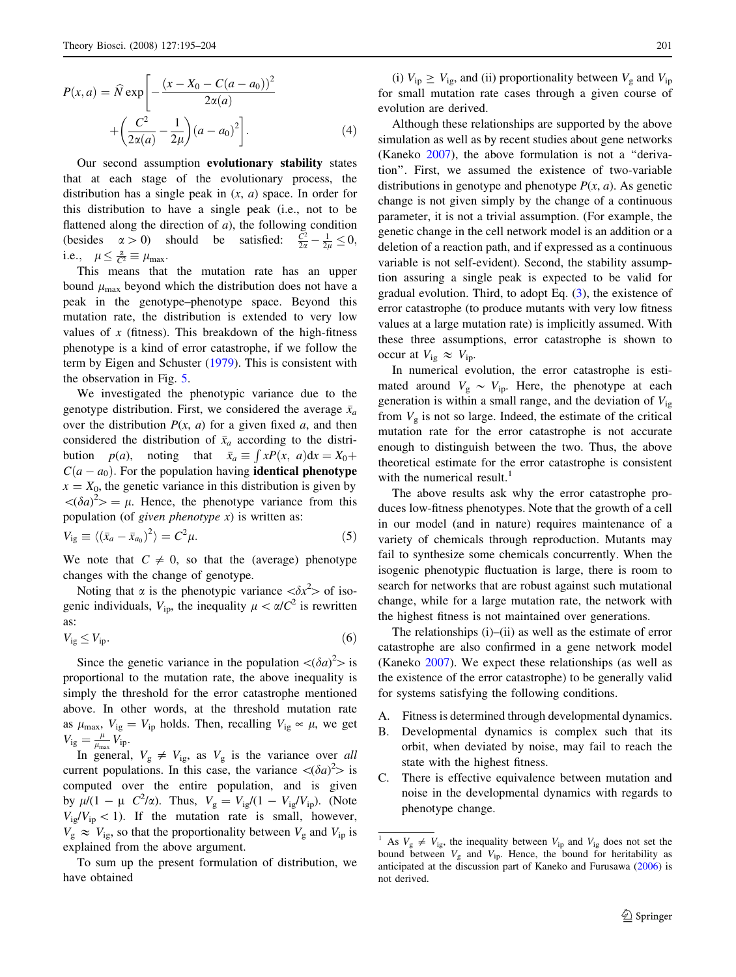$$
P(x,a) = \hat{N} \exp\left[-\frac{(x - X_0 - C(a - a_0))^2}{2\alpha(a)} + \left(\frac{C^2}{2\alpha(a)} - \frac{1}{2\mu}\right)(a - a_0)^2\right].
$$
 (4)

Our second assumption evolutionary stability states that at each stage of the evolutionary process, the distribution has a single peak in  $(x, a)$  space. In order for this distribution to have a single peak (i.e., not to be flattened along the direction of  $a$ ), the following condition (besides  $\alpha > 0$ ) should be satisfied:  $\frac{C^2}{2\alpha} - \frac{1}{2\mu} \le 0$ , i.e.,  $\mu \leq \frac{\alpha}{C^2} \equiv \mu_{\text{max}}$ .

This means that the mutation rate has an upper bound  $\mu_{\text{max}}$  beyond which the distribution does not have a peak in the genotype–phenotype space. Beyond this mutation rate, the distribution is extended to very low values of  $x$  (fitness). This breakdown of the high-fitness phenotype is a kind of error catastrophe, if we follow the term by Eigen and Schuster ([1979](#page-8-0)). This is consistent with the observation in Fig. [5.](#page-5-0)

We investigated the phenotypic variance due to the genotype distribution. First, we considered the average  $\bar{x}_a$ over the distribution  $P(x, a)$  for a given fixed a, and then considered the distribution of  $\bar{x}_a$  according to the distribution  $p(a)$ , noting that  $\bar{x}_a \equiv \int xP(x, a)dx = X_0 +$  $C(a - a_0)$ . For the population having **identical phenotype**  $x = X_0$ , the genetic variance in this distribution is given by  $\langle (\delta a)^2 \rangle = \mu$ . Hence, the phenotype variance from this population (of *given phenotype x*) is written as:

$$
V_{ig} \equiv \langle (\bar{x}_a - \bar{x}_{a_0})^2 \rangle = C^2 \mu. \tag{5}
$$

We note that  $C \neq 0$ , so that the (average) phenotype changes with the change of genotype.

Noting that  $\alpha$  is the phenotypic variance  $\langle \delta x^2 \rangle$  of isogenic individuals,  $V_{\text{ip}}$ , the inequality  $\mu < \alpha/C^2$  is rewritten as:

$$
V_{\text{ig}} \le V_{\text{ip}}.\tag{6}
$$

Since the genetic variance in the population  $\langle (\delta a)^2 \rangle$  is proportional to the mutation rate, the above inequality is simply the threshold for the error catastrophe mentioned above. In other words, at the threshold mutation rate as  $\mu_{\text{max}}$ ,  $V_{ig} = V_{ip}$  holds. Then, recalling  $V_{ig} \propto \mu$ , we get  $V_{ig} = \frac{\mu}{\mu_{max}} V_{ip}.$ 

In general,  $V_{\rm g} \neq V_{\rm ig}$ , as  $V_{\rm g}$  is the variance over all current populations. In this case, the variance  $\langle (\delta a)^2 \rangle$  is computed over the entire population, and is given by  $\mu/(1 - \mu \ C^2/\alpha)$ . Thus,  $V_g = V_{ig}/(1 - V_{ig}/V_{ip})$ . (Note  $V_{\text{ig}}/V_{\text{ip}}$  < 1). If the mutation rate is small, however,  $V_{\rm g} \approx V_{\rm ig}$ , so that the proportionality between  $V_{\rm g}$  and  $V_{\rm ip}$  is explained from the above argument.

To sum up the present formulation of distribution, we have obtained

(i)  $V_{\text{ip}} \geq V_{\text{ig}}$ , and (ii) proportionality between  $V_{\text{g}}$  and  $V_{\text{ip}}$ for small mutation rate cases through a given course of evolution are derived.

Although these relationships are supported by the above simulation as well as by recent studies about gene networks (Kaneko [2007](#page-8-0)), the above formulation is not a ''derivation''. First, we assumed the existence of two-variable distributions in genotype and phenotype  $P(x, a)$ . As genetic change is not given simply by the change of a continuous parameter, it is not a trivial assumption. (For example, the genetic change in the cell network model is an addition or a deletion of a reaction path, and if expressed as a continuous variable is not self-evident). Second, the stability assumption assuring a single peak is expected to be valid for gradual evolution. Third, to adopt Eq.  $(3)$  $(3)$ , the existence of error catastrophe (to produce mutants with very low fitness values at a large mutation rate) is implicitly assumed. With these three assumptions, error catastrophe is shown to occur at  $V_{ig} \approx V_{ip}$ .

In numerical evolution, the error catastrophe is estimated around  $V_{\rm g} \sim V_{\rm ip}$ . Here, the phenotype at each generation is within a small range, and the deviation of  $V_{ig}$ from  $V_g$  is not so large. Indeed, the estimate of the critical mutation rate for the error catastrophe is not accurate enough to distinguish between the two. Thus, the above theoretical estimate for the error catastrophe is consistent with the numerical result.<sup>1</sup>

The above results ask why the error catastrophe produces low-fitness phenotypes. Note that the growth of a cell in our model (and in nature) requires maintenance of a variety of chemicals through reproduction. Mutants may fail to synthesize some chemicals concurrently. When the isogenic phenotypic fluctuation is large, there is room to search for networks that are robust against such mutational change, while for a large mutation rate, the network with the highest fitness is not maintained over generations.

The relationships (i)–(ii) as well as the estimate of error catastrophe are also confirmed in a gene network model (Kaneko [2007](#page-8-0)). We expect these relationships (as well as the existence of the error catastrophe) to be generally valid for systems satisfying the following conditions.

- A. Fitness is determined through developmental dynamics.
- B. Developmental dynamics is complex such that its orbit, when deviated by noise, may fail to reach the state with the highest fitness.
- C. There is effective equivalence between mutation and noise in the developmental dynamics with regards to phenotype change.

<sup>&</sup>lt;sup>1</sup> As  $V_g \neq V_{ig}$ , the inequality between  $V_{ip}$  and  $V_{ig}$  does not set the bound between  $V_g$  and  $V_{ip}$ . Hence, the bound for heritability as anticipated at the discussion part of Kaneko and Furusawa ([2006\)](#page-8-0) is not derived.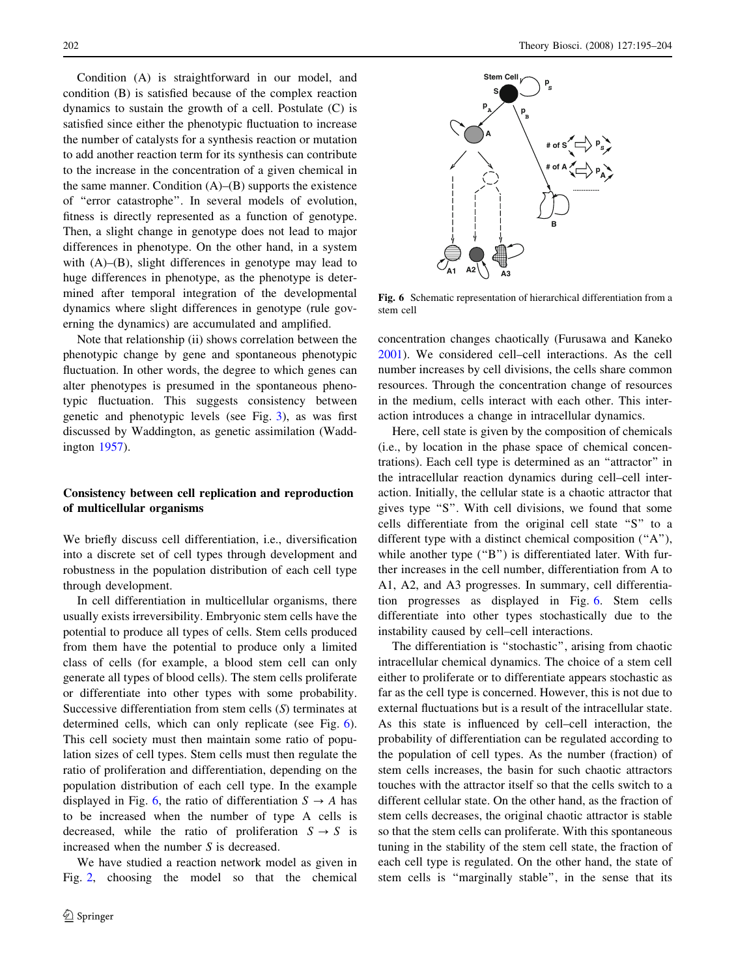<span id="page-7-0"></span>Condition (A) is straightforward in our model, and condition (B) is satisfied because of the complex reaction dynamics to sustain the growth of a cell. Postulate (C) is satisfied since either the phenotypic fluctuation to increase the number of catalysts for a synthesis reaction or mutation to add another reaction term for its synthesis can contribute to the increase in the concentration of a given chemical in the same manner. Condition  $(A)$ – $(B)$  supports the existence of ''error catastrophe''. In several models of evolution, fitness is directly represented as a function of genotype. Then, a slight change in genotype does not lead to major differences in phenotype. On the other hand, in a system with (A)–(B), slight differences in genotype may lead to huge differences in phenotype, as the phenotype is determined after temporal integration of the developmental dynamics where slight differences in genotype (rule governing the dynamics) are accumulated and amplified.

Note that relationship (ii) shows correlation between the phenotypic change by gene and spontaneous phenotypic fluctuation. In other words, the degree to which genes can alter phenotypes is presumed in the spontaneous phenotypic fluctuation. This suggests consistency between genetic and phenotypic levels (see Fig. [3](#page-4-0)), as was first discussed by Waddington, as genetic assimilation (Waddington [1957\)](#page-9-0).

## Consistency between cell replication and reproduction of multicellular organisms

We briefly discuss cell differentiation, i.e., diversification into a discrete set of cell types through development and robustness in the population distribution of each cell type through development.

In cell differentiation in multicellular organisms, there usually exists irreversibility. Embryonic stem cells have the potential to produce all types of cells. Stem cells produced from them have the potential to produce only a limited class of cells (for example, a blood stem cell can only generate all types of blood cells). The stem cells proliferate or differentiate into other types with some probability. Successive differentiation from stem cells (S) terminates at determined cells, which can only replicate (see Fig. 6). This cell society must then maintain some ratio of population sizes of cell types. Stem cells must then regulate the ratio of proliferation and differentiation, depending on the population distribution of each cell type. In the example displayed in Fig. 6, the ratio of differentiation  $S \rightarrow A$  has to be increased when the number of type A cells is decreased, while the ratio of proliferation  $S \rightarrow S$  is increased when the number S is decreased.

We have studied a reaction network model as given in Fig. [2](#page-1-0), choosing the model so that the chemical



Fig. 6 Schematic representation of hierarchical differentiation from a stem cell

concentration changes chaotically (Furusawa and Kaneko [2001](#page-8-0)). We considered cell–cell interactions. As the cell number increases by cell divisions, the cells share common resources. Through the concentration change of resources in the medium, cells interact with each other. This interaction introduces a change in intracellular dynamics.

Here, cell state is given by the composition of chemicals (i.e., by location in the phase space of chemical concentrations). Each cell type is determined as an ''attractor'' in the intracellular reaction dynamics during cell–cell interaction. Initially, the cellular state is a chaotic attractor that gives type ''S''. With cell divisions, we found that some cells differentiate from the original cell state ''S'' to a different type with a distinct chemical composition ("A"), while another type ("B") is differentiated later. With further increases in the cell number, differentiation from A to A1, A2, and A3 progresses. In summary, cell differentiation progresses as displayed in Fig. 6. Stem cells differentiate into other types stochastically due to the instability caused by cell–cell interactions.

The differentiation is ''stochastic'', arising from chaotic intracellular chemical dynamics. The choice of a stem cell either to proliferate or to differentiate appears stochastic as far as the cell type is concerned. However, this is not due to external fluctuations but is a result of the intracellular state. As this state is influenced by cell–cell interaction, the probability of differentiation can be regulated according to the population of cell types. As the number (fraction) of stem cells increases, the basin for such chaotic attractors touches with the attractor itself so that the cells switch to a different cellular state. On the other hand, as the fraction of stem cells decreases, the original chaotic attractor is stable so that the stem cells can proliferate. With this spontaneous tuning in the stability of the stem cell state, the fraction of each cell type is regulated. On the other hand, the state of stem cells is ''marginally stable'', in the sense that its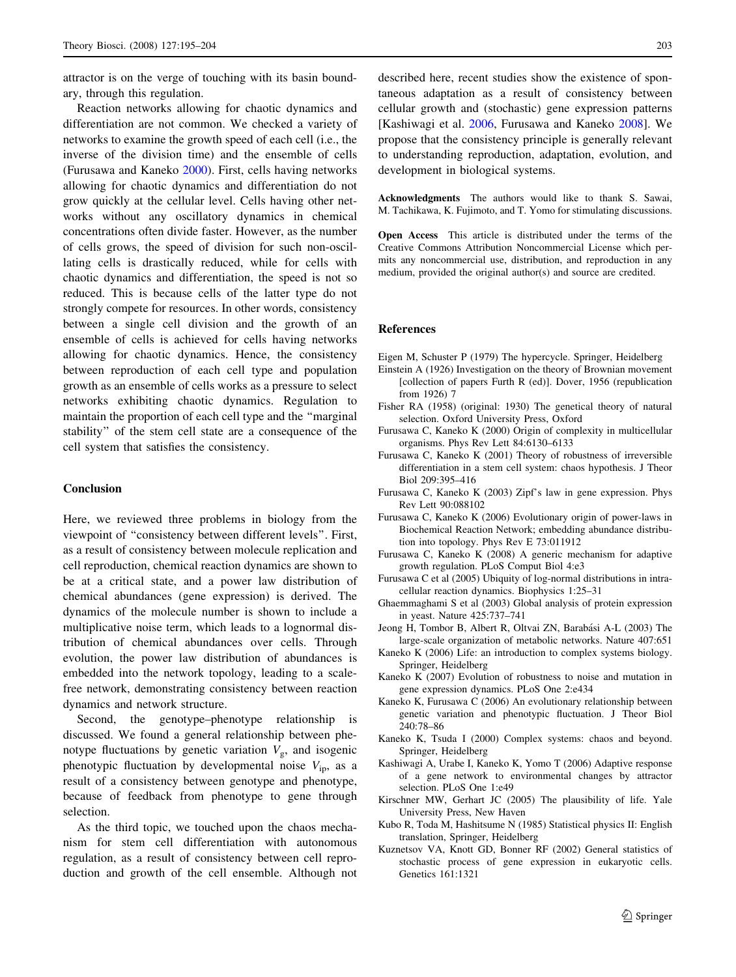<span id="page-8-0"></span>attractor is on the verge of touching with its basin boundary, through this regulation.

Reaction networks allowing for chaotic dynamics and differentiation are not common. We checked a variety of networks to examine the growth speed of each cell (i.e., the inverse of the division time) and the ensemble of cells (Furusawa and Kaneko 2000). First, cells having networks allowing for chaotic dynamics and differentiation do not grow quickly at the cellular level. Cells having other networks without any oscillatory dynamics in chemical concentrations often divide faster. However, as the number of cells grows, the speed of division for such non-oscillating cells is drastically reduced, while for cells with chaotic dynamics and differentiation, the speed is not so reduced. This is because cells of the latter type do not strongly compete for resources. In other words, consistency between a single cell division and the growth of an ensemble of cells is achieved for cells having networks allowing for chaotic dynamics. Hence, the consistency between reproduction of each cell type and population growth as an ensemble of cells works as a pressure to select networks exhibiting chaotic dynamics. Regulation to maintain the proportion of each cell type and the ''marginal stability'' of the stem cell state are a consequence of the cell system that satisfies the consistency.

#### Conclusion

Here, we reviewed three problems in biology from the viewpoint of ''consistency between different levels''. First, as a result of consistency between molecule replication and cell reproduction, chemical reaction dynamics are shown to be at a critical state, and a power law distribution of chemical abundances (gene expression) is derived. The dynamics of the molecule number is shown to include a multiplicative noise term, which leads to a lognormal distribution of chemical abundances over cells. Through evolution, the power law distribution of abundances is embedded into the network topology, leading to a scalefree network, demonstrating consistency between reaction dynamics and network structure.

Second, the genotype–phenotype relationship is discussed. We found a general relationship between phenotype fluctuations by genetic variation  $V_{\rm g}$ , and isogenic phenotypic fluctuation by developmental noise  $V_{\text{ip}}$ , as a result of a consistency between genotype and phenotype, because of feedback from phenotype to gene through selection.

As the third topic, we touched upon the chaos mechanism for stem cell differentiation with autonomous regulation, as a result of consistency between cell reproduction and growth of the cell ensemble. Although not described here, recent studies show the existence of spontaneous adaptation as a result of consistency between cellular growth and (stochastic) gene expression patterns [Kashiwagi et al. 2006, Furusawa and Kaneko 2008]. We propose that the consistency principle is generally relevant to understanding reproduction, adaptation, evolution, and development in biological systems.

Acknowledgments The authors would like to thank S. Sawai, M. Tachikawa, K. Fujimoto, and T. Yomo for stimulating discussions.

Open Access This article is distributed under the terms of the Creative Commons Attribution Noncommercial License which permits any noncommercial use, distribution, and reproduction in any medium, provided the original author(s) and source are credited.

#### References

- Eigen M, Schuster P (1979) The hypercycle. Springer, Heidelberg
- Einstein A (1926) Investigation on the theory of Brownian movement [collection of papers Furth R (ed)]. Dover, 1956 (republication from 1926) 7
- Fisher RA (1958) (original: 1930) The genetical theory of natural selection. Oxford University Press, Oxford
- Furusawa C, Kaneko K (2000) Origin of complexity in multicellular organisms. Phys Rev Lett 84:6130–6133
- Furusawa C, Kaneko K (2001) Theory of robustness of irreversible differentiation in a stem cell system: chaos hypothesis. J Theor Biol 209:395–416
- Furusawa C, Kaneko K (2003) Zipf's law in gene expression. Phys Rev Lett 90:088102
- Furusawa C, Kaneko K (2006) Evolutionary origin of power-laws in Biochemical Reaction Network; embedding abundance distribution into topology. Phys Rev E 73:011912
- Furusawa C, Kaneko K (2008) A generic mechanism for adaptive growth regulation. PLoS Comput Biol 4:e3
- Furusawa C et al (2005) Ubiquity of log-normal distributions in intracellular reaction dynamics. Biophysics 1:25–31
- Ghaemmaghami S et al (2003) Global analysis of protein expression in yeast. Nature 425:737–741
- Jeong H, Tombor B, Albert R, Oltvai ZN, Barabási A-L (2003) The large-scale organization of metabolic networks. Nature 407:651
- Kaneko K (2006) Life: an introduction to complex systems biology. Springer, Heidelberg
- Kaneko K (2007) Evolution of robustness to noise and mutation in gene expression dynamics. PLoS One 2:e434
- Kaneko K, Furusawa C (2006) An evolutionary relationship between genetic variation and phenotypic fluctuation. J Theor Biol 240:78–86
- Kaneko K, Tsuda I (2000) Complex systems: chaos and beyond. Springer, Heidelberg
- Kashiwagi A, Urabe I, Kaneko K, Yomo T (2006) Adaptive response of a gene network to environmental changes by attractor selection. PLoS One 1:e49
- Kirschner MW, Gerhart JC (2005) The plausibility of life. Yale University Press, New Haven
- Kubo R, Toda M, Hashitsume N (1985) Statistical physics II: English translation, Springer, Heidelberg
- Kuznetsov VA, Knott GD, Bonner RF (2002) General statistics of stochastic process of gene expression in eukaryotic cells. Genetics 161:1321